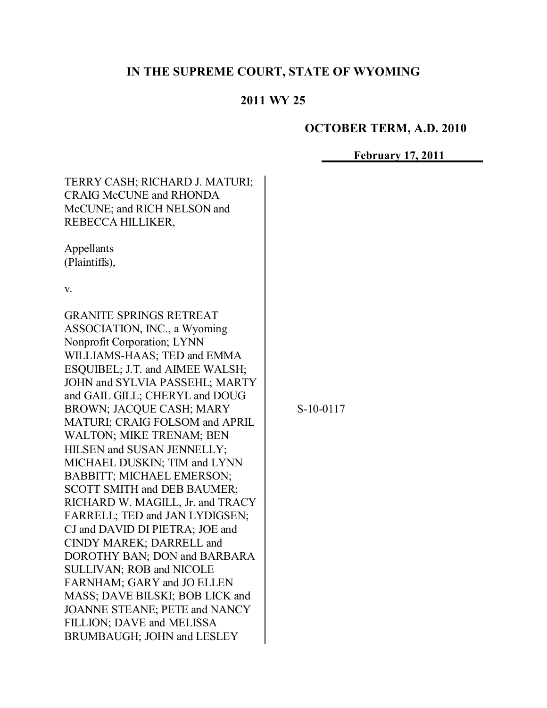# **IN THE SUPREME COURT, STATE OF WYOMING**

# **2011 WY 25**

# **OCTOBER TERM, A.D. 2010**

# **February 17, 2011**

| TERRY CASH; RICHARD J. MATURI;<br><b>CRAIG McCUNE and RHONDA</b><br>McCUNE; and RICH NELSON and<br>REBECCA HILLIKER,                                                                                                                                                                                                                                                                                                                                                                                                                                                                                                                                                                                                                                                                                                                              |             |  |
|---------------------------------------------------------------------------------------------------------------------------------------------------------------------------------------------------------------------------------------------------------------------------------------------------------------------------------------------------------------------------------------------------------------------------------------------------------------------------------------------------------------------------------------------------------------------------------------------------------------------------------------------------------------------------------------------------------------------------------------------------------------------------------------------------------------------------------------------------|-------------|--|
| Appellants<br>(Plaintiffs),                                                                                                                                                                                                                                                                                                                                                                                                                                                                                                                                                                                                                                                                                                                                                                                                                       |             |  |
| V.                                                                                                                                                                                                                                                                                                                                                                                                                                                                                                                                                                                                                                                                                                                                                                                                                                                |             |  |
| <b>GRANITE SPRINGS RETREAT</b><br>ASSOCIATION, INC., a Wyoming<br>Nonprofit Corporation; LYNN<br>WILLIAMS-HAAS; TED and EMMA<br>ESQUIBEL; J.T. and AIMEE WALSH;<br>JOHN and SYLVIA PASSEHL; MARTY<br>and GAIL GILL; CHERYL and DOUG<br>BROWN; JACQUE CASH; MARY<br>MATURI: CRAIG FOLSOM and APRIL<br><b>WALTON; MIKE TRENAM; BEN</b><br>HILSEN and SUSAN JENNELLY;<br>MICHAEL DUSKIN; TIM and LYNN<br><b>BABBITT; MICHAEL EMERSON;</b><br><b>SCOTT SMITH and DEB BAUMER;</b><br>RICHARD W. MAGILL, Jr. and TRACY<br>FARRELL; TED and JAN LYDIGSEN;<br>CJ and DAVID DI PIETRA; JOE and<br>CINDY MAREK; DARRELL and<br>DOROTHY BAN; DON and BARBARA<br><b>SULLIVAN: ROB and NICOLE</b><br>FARNHAM; GARY and JO ELLEN<br>MASS; DAVE BILSKI; BOB LICK and<br>JOANNE STEANE; PETE and NANCY<br>FILLION; DAVE and MELISSA<br>BRUMBAUGH; JOHN and LESLEY | $S-10-0117$ |  |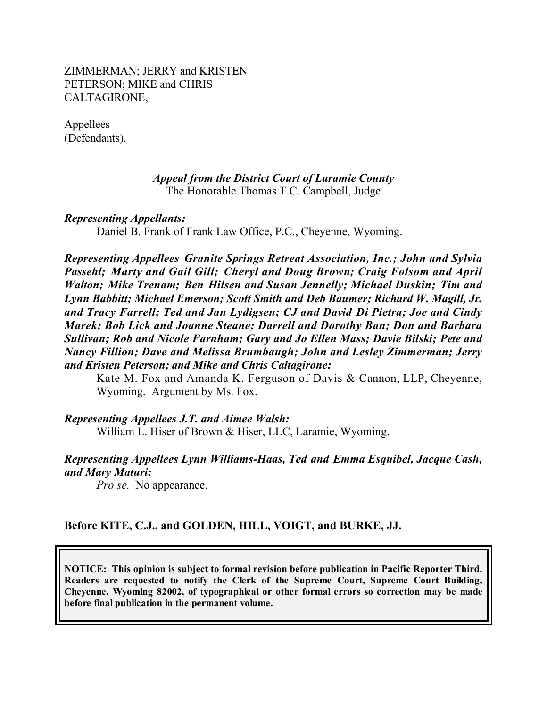ZIMMERMAN; JERRY and KRISTEN PETERSON; MIKE and CHRIS CALTAGIRONE,

Appellees (Defendants).

#### *Appeal from the District Court of Laramie County* The Honorable Thomas T.C. Campbell, Judge

#### *Representing Appellants:*

Daniel B. Frank of Frank Law Office, P.C., Cheyenne, Wyoming.

*Representing Appellees Granite Springs Retreat Association, Inc.; John and Sylvia Passehl; Marty and Gail Gill; Cheryl and Doug Brown; Craig Folsom and April Walton; Mike Trenam; Ben Hilsen and Susan Jennelly; Michael Duskin; Tim and Lynn Babbitt; Michael Emerson; Scott Smith and Deb Baumer; Richard W. Magill, Jr. and Tracy Farrell; Ted and Jan Lydigsen; CJ and David Di Pietra; Joe and Cindy Marek; Bob Lick and Joanne Steane; Darrell and Dorothy Ban; Don and Barbara Sullivan; Rob and Nicole Farnham; Gary and Jo Ellen Mass; Davie Bilski; Pete and Nancy Fillion; Dave and Melissa Brumbaugh; John and Lesley Zimmerman; Jerry and Kristen Peterson; and Mike and Chris Caltagirone:*

Kate M. Fox and Amanda K. Ferguson of Davis & Cannon, LLP, Cheyenne, Wyoming. Argument by Ms. Fox.

*Representing Appellees J.T. and Aimee Walsh:*

William L. Hiser of Brown & Hiser, LLC, Laramie, Wyoming.

#### *Representing Appellees Lynn Williams-Haas, Ted and Emma Esquibel, Jacque Cash, and Mary Maturi:*

*Pro se.* No appearance.

# **Before KITE, C.J., and GOLDEN, HILL, VOIGT, and BURKE, JJ.**

**NOTICE: This opinion is subject to formal revision before publication in Pacific Reporter Third. Readers are requested to notify the Clerk of the Supreme Court, Supreme Court Building, Cheyenne, Wyoming 82002, of typographical or other formal errors so correction may be made before final publication in the permanent volume.**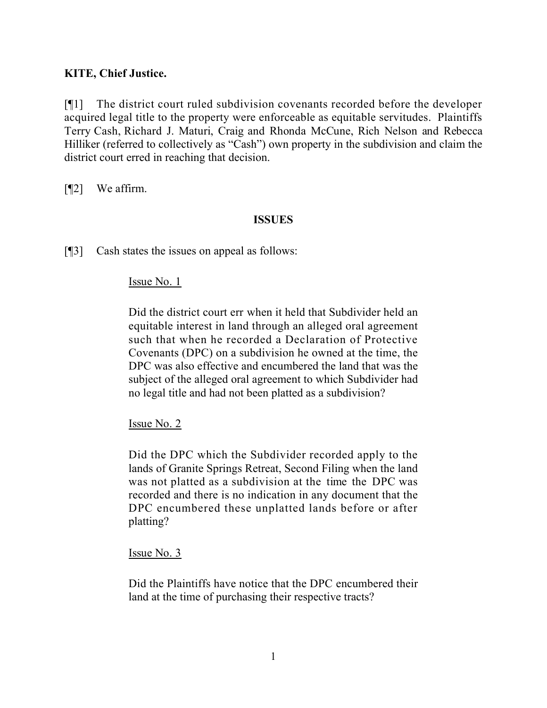# **KITE, Chief Justice.**

[¶1] The district court ruled subdivision covenants recorded before the developer acquired legal title to the property were enforceable as equitable servitudes. Plaintiffs Terry Cash, Richard J. Maturi, Craig and Rhonda McCune, Rich Nelson and Rebecca Hilliker (referred to collectively as "Cash") own property in the subdivision and claim the district court erred in reaching that decision.

[¶2] We affirm.

#### **ISSUES**

[¶3] Cash states the issues on appeal as follows:

#### Issue No. 1

Did the district court err when it held that Subdivider held an equitable interest in land through an alleged oral agreement such that when he recorded a Declaration of Protective Covenants (DPC) on a subdivision he owned at the time, the DPC was also effective and encumbered the land that was the subject of the alleged oral agreement to which Subdivider had no legal title and had not been platted as a subdivision?

Issue No. 2

Did the DPC which the Subdivider recorded apply to the lands of Granite Springs Retreat, Second Filing when the land was not platted as a subdivision at the time the DPC was recorded and there is no indication in any document that the DPC encumbered these unplatted lands before or after platting?

#### Issue No. 3

Did the Plaintiffs have notice that the DPC encumbered their land at the time of purchasing their respective tracts?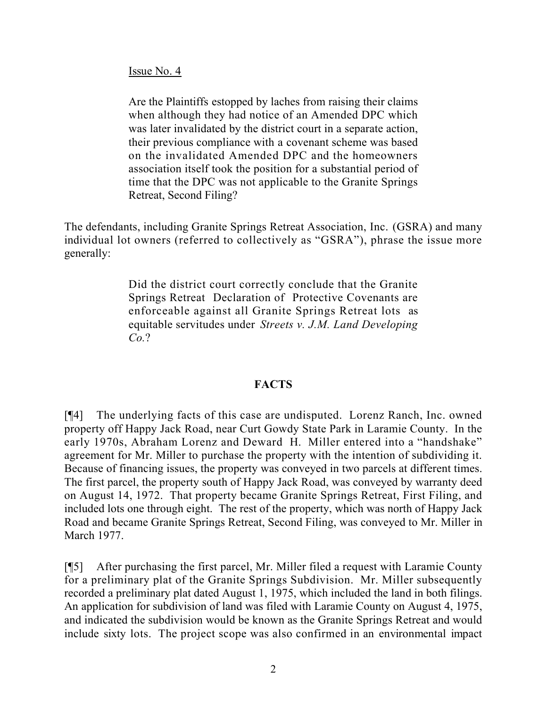#### Issue No. 4

Are the Plaintiffs estopped by laches from raising their claims when although they had notice of an Amended DPC which was later invalidated by the district court in a separate action, their previous compliance with a covenant scheme was based on the invalidated Amended DPC and the homeowners association itself took the position for a substantial period of time that the DPC was not applicable to the Granite Springs Retreat, Second Filing?

The defendants, including Granite Springs Retreat Association, Inc. (GSRA) and many individual lot owners (referred to collectively as "GSRA"), phrase the issue more generally:

> Did the district court correctly conclude that the Granite Springs Retreat Declaration of Protective Covenants are enforceable against all Granite Springs Retreat lots as equitable servitudes under *Streets v. J.M. Land Developing Co.*?

# **FACTS**

[¶4] The underlying facts of this case are undisputed. Lorenz Ranch, Inc. owned property off Happy Jack Road, near Curt Gowdy State Park in Laramie County. In the early 1970s, Abraham Lorenz and Deward H. Miller entered into a "handshake" agreement for Mr. Miller to purchase the property with the intention of subdividing it. Because of financing issues, the property was conveyed in two parcels at different times. The first parcel, the property south of Happy Jack Road, was conveyed by warranty deed on August 14, 1972. That property became Granite Springs Retreat, First Filing, and included lots one through eight. The rest of the property, which was north of Happy Jack Road and became Granite Springs Retreat, Second Filing, was conveyed to Mr. Miller in March 1977.

[¶5] After purchasing the first parcel, Mr. Miller filed a request with Laramie County for a preliminary plat of the Granite Springs Subdivision. Mr. Miller subsequently recorded a preliminary plat dated August 1, 1975, which included the land in both filings. An application for subdivision of land was filed with Laramie County on August 4, 1975, and indicated the subdivision would be known as the Granite Springs Retreat and would include sixty lots. The project scope was also confirmed in an environmental impact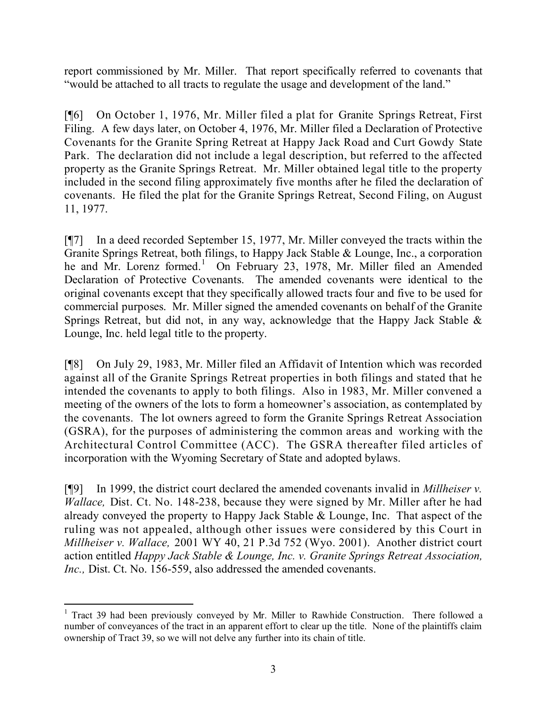report commissioned by Mr. Miller. That report specifically referred to covenants that "would be attached to all tracts to regulate the usage and development of the land."

[¶6] On October 1, 1976, Mr. Miller filed a plat for Granite Springs Retreat, First Filing. A few days later, on October 4, 1976, Mr. Miller filed a Declaration of Protective Covenants for the Granite Spring Retreat at Happy Jack Road and Curt Gowdy State Park. The declaration did not include a legal description, but referred to the affected property as the Granite Springs Retreat. Mr. Miller obtained legal title to the property included in the second filing approximately five months after he filed the declaration of covenants. He filed the plat for the Granite Springs Retreat, Second Filing, on August 11, 1977.

[¶7] In a deed recorded September 15, 1977, Mr. Miller conveyed the tracts within the Granite Springs Retreat, both filings, to Happy Jack Stable & Lounge, Inc., a corporation he and Mr. Lorenz formed.<sup>1</sup> On February 23, 1978, Mr. Miller filed an Amended Declaration of Protective Covenants. The amended covenants were identical to the original covenants except that they specifically allowed tracts four and five to be used for commercial purposes. Mr. Miller signed the amended covenants on behalf of the Granite Springs Retreat, but did not, in any way, acknowledge that the Happy Jack Stable  $\&$ Lounge, Inc. held legal title to the property.

[¶8] On July 29, 1983, Mr. Miller filed an Affidavit of Intention which was recorded against all of the Granite Springs Retreat properties in both filings and stated that he intended the covenants to apply to both filings. Also in 1983, Mr. Miller convened a meeting of the owners of the lots to form a homeowner's association, as contemplated by the covenants. The lot owners agreed to form the Granite Springs Retreat Association (GSRA), for the purposes of administering the common areas and working with the Architectural Control Committee (ACC). The GSRA thereafter filed articles of incorporation with the Wyoming Secretary of State and adopted bylaws.

[¶9] In 1999, the district court declared the amended covenants invalid in *Millheiser v. Wallace,* Dist. Ct. No. 148-238, because they were signed by Mr. Miller after he had already conveyed the property to Happy Jack Stable & Lounge, Inc. That aspect of the ruling was not appealed, although other issues were considered by this Court in *Millheiser v. Wallace,* 2001 WY 40, 21 P.3d 752 (Wyo. 2001). Another district court action entitled *Happy Jack Stable & Lounge, Inc. v. Granite Springs Retreat Association, Inc.,* Dist. Ct. No. 156-559, also addressed the amended covenants.

 <sup>1</sup> Tract 39 had been previously conveyed by Mr. Miller to Rawhide Construction. There followed a number of conveyances of the tract in an apparent effort to clear up the title. None of the plaintiffs claim ownership of Tract 39, so we will not delve any further into its chain of title.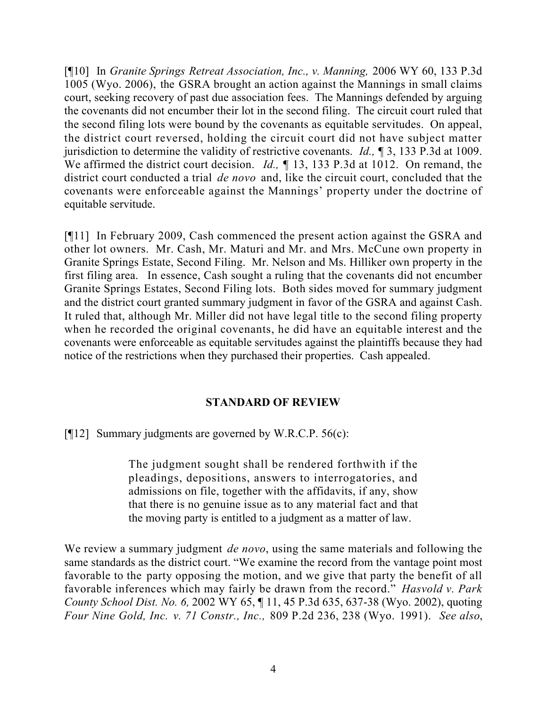[¶10] In *Granite Springs Retreat Association, Inc., v. Manning,* 2006 WY 60, 133 P.3d 1005 (Wyo. 2006), the GSRA brought an action against the Mannings in small claims court, seeking recovery of past due association fees. The Mannings defended by arguing the covenants did not encumber their lot in the second filing. The circuit court ruled that the second filing lots were bound by the covenants as equitable servitudes. On appeal, the district court reversed, holding the circuit court did not have subject matter jurisdiction to determine the validity of restrictive covenants. *Id.,* ¶ 3, 133 P.3d at 1009. We affirmed the district court decision. *Id.*,  $\parallel$  13, 133 P.3d at 1012. On remand, the district court conducted a trial *de novo* and, like the circuit court, concluded that the covenants were enforceable against the Mannings' property under the doctrine of equitable servitude.

[¶11] In February 2009, Cash commenced the present action against the GSRA and other lot owners. Mr. Cash, Mr. Maturi and Mr. and Mrs. McCune own property in Granite Springs Estate, Second Filing. Mr. Nelson and Ms. Hilliker own property in the first filing area. In essence, Cash sought a ruling that the covenants did not encumber Granite Springs Estates, Second Filing lots. Both sides moved for summary judgment and the district court granted summary judgment in favor of the GSRA and against Cash. It ruled that, although Mr. Miller did not have legal title to the second filing property when he recorded the original covenants, he did have an equitable interest and the covenants were enforceable as equitable servitudes against the plaintiffs because they had notice of the restrictions when they purchased their properties. Cash appealed.

# **STANDARD OF REVIEW**

[ $[$ [12] Summary judgments are governed by W.R.C.P. 56(c):

The judgment sought shall be rendered forthwith if the pleadings, depositions, answers to interrogatories, and admissions on file, together with the affidavits, if any, show that there is no genuine issue as to any material fact and that the moving party is entitled to a judgment as a matter of law.

We review a summary judgment *de novo*, using the same materials and following the same standards as the district court. "We examine the record from the vantage point most favorable to the party opposing the motion, and we give that party the benefit of all favorable inferences which may fairly be drawn from the record." *Hasvold v. Park County School Dist. No. 6,* 2002 WY 65, ¶ 11, 45 P.3d 635, 637-38 (Wyo. 2002), quoting *Four Nine Gold, Inc. v. 71 Constr., Inc.,* 809 P.2d 236, 238 (Wyo. 1991). *See also*,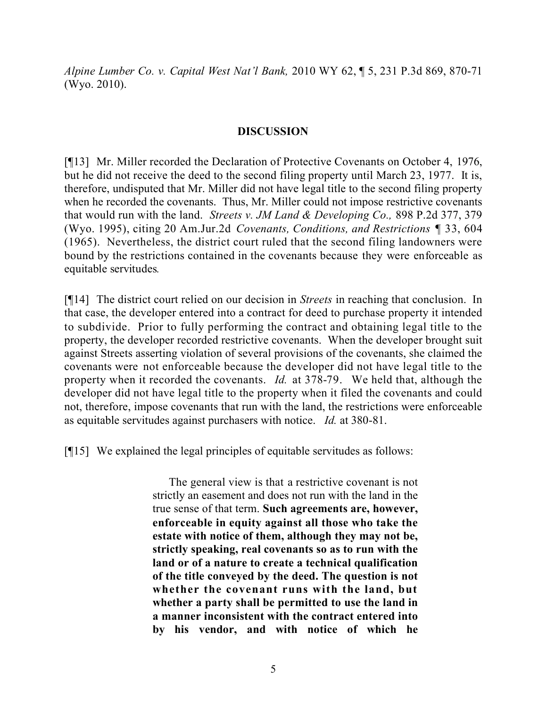*Alpine Lumber Co. v. Capital West Nat'l Bank,* 2010 WY 62, ¶ 5, 231 P.3d 869, 870-71 (Wyo. 2010).

### **DISCUSSION**

[¶13] Mr. Miller recorded the Declaration of Protective Covenants on October 4, 1976, but he did not receive the deed to the second filing property until March 23, 1977. It is, therefore, undisputed that Mr. Miller did not have legal title to the second filing property when he recorded the covenants. Thus, Mr. Miller could not impose restrictive covenants that would run with the land. *Streets v. JM Land & Developing Co.,* 898 P.2d 377, 379 (Wyo. 1995), citing 20 Am.Jur.2d *Covenants, Conditions, and Restrictions* ¶ 33, 604 (1965). Nevertheless, the district court ruled that the second filing landowners were bound by the restrictions contained in the covenants because they were enforceable as equitable servitudes*.*

[¶14] The district court relied on our decision in *Streets* in reaching that conclusion. In that case, the developer entered into a contract for deed to purchase property it intended to subdivide. Prior to fully performing the contract and obtaining legal title to the property, the developer recorded restrictive covenants. When the developer brought suit against Streets asserting violation of several provisions of the covenants, she claimed the covenants were not enforceable because the developer did not have legal title to the property when it recorded the covenants. *Id.* at 378-79. We held that, although the developer did not have legal title to the property when it filed the covenants and could not, therefore, impose covenants that run with the land, the restrictions were enforceable as equitable servitudes against purchasers with notice. *Id.* at 380-81.

[¶15] We explained the legal principles of equitable servitudes as follows:

The general view is that a restrictive covenant is not strictly an easement and does not run with the land in the true sense of that term. **Such agreements are, however, enforceable in equity against all those who take the estate with notice of them, although they may not be, strictly speaking, real covenants so as to run with the land or of a nature to create a technical qualification of the title conveyed by the deed. The question is not whether the covenant runs with the land, but whether a party shall be permitted to use the land in a manner inconsistent with the contract entered into by his vendor, and with notice of which he**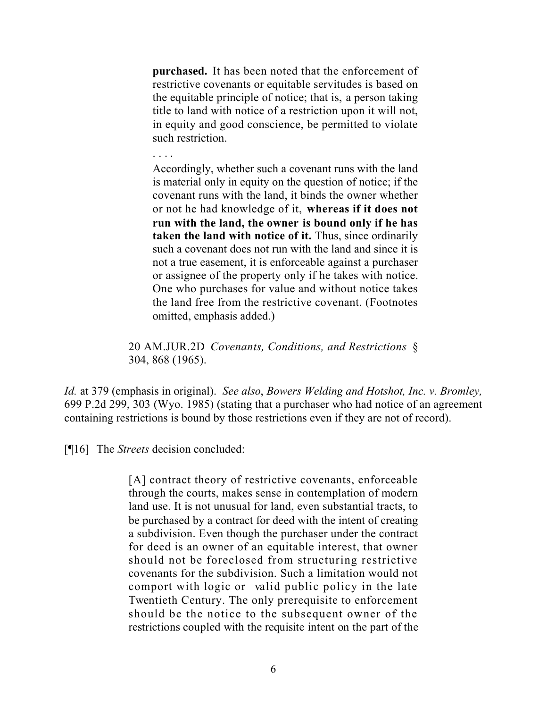**purchased.** It has been noted that the enforcement of restrictive covenants or equitable servitudes is based on the equitable principle of notice; that is, a person taking title to land with notice of a restriction upon it will not, in equity and good conscience, be permitted to violate such restriction.

#### . . . .

Accordingly, whether such a covenant runs with the land is material only in equity on the question of notice; if the covenant runs with the land, it binds the owner whether or not he had knowledge of it, **whereas if it does not run with the land, the owner is bound only if he has taken the land with notice of it.** Thus, since ordinarily such a covenant does not run with the land and since it is not a true easement, it is enforceable against a purchaser or assignee of the property only if he takes with notice. One who purchases for value and without notice takes the land free from the restrictive covenant. (Footnotes omitted, emphasis added.)

20 AM.JUR.2D *Covenants, Conditions, and Restrictions* § 304, 868 (1965).

*Id.* at 379 (emphasis in original). *See also*, *Bowers Welding and Hotshot, Inc. v. Bromley,*  699 P.2d 299, 303 (Wyo. 1985) (stating that a purchaser who had notice of an agreement containing restrictions is bound by those restrictions even if they are not of record).

[¶16] The *Streets* decision concluded:

[A] contract theory of restrictive covenants, enforceable through the courts, makes sense in contemplation of modern land use. It is not unusual for land, even substantial tracts, to be purchased by a contract for deed with the intent of creating a subdivision. Even though the purchaser under the contract for deed is an owner of an equitable interest, that owner should not be foreclosed from structuring restrictive covenants for the subdivision. Such a limitation would not comport with logic or valid public policy in the late Twentieth Century. The only prerequisite to enforcement should be the notice to the subsequent owner of the restrictions coupled with the requisite intent on the part of the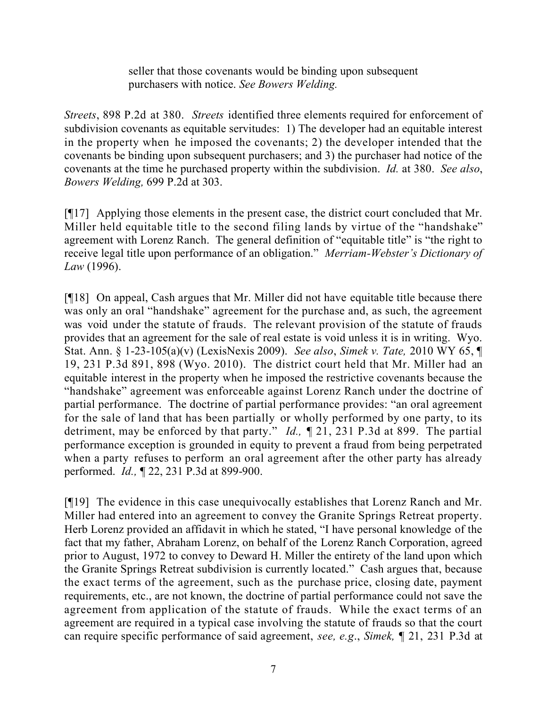seller that those covenants would be binding upon subsequent purchasers with notice. *See Bowers Welding.*

*Streets*, 898 P.2d at 380. *Streets* identified three elements required for enforcement of subdivision covenants as equitable servitudes: 1) The developer had an equitable interest in the property when he imposed the covenants; 2) the developer intended that the covenants be binding upon subsequent purchasers; and 3) the purchaser had notice of the covenants at the time he purchased property within the subdivision. *Id.* at 380. *See also*, *Bowers Welding,* 699 P.2d at 303.

[¶17] Applying those elements in the present case, the district court concluded that Mr. Miller held equitable title to the second filing lands by virtue of the "handshake" agreement with Lorenz Ranch. The general definition of "equitable title" is "the right to receive legal title upon performance of an obligation." *Merriam-Webster's Dictionary of Law* (1996).

[¶18] On appeal, Cash argues that Mr. Miller did not have equitable title because there was only an oral "handshake" agreement for the purchase and, as such, the agreement was void under the statute of frauds. The relevant provision of the statute of frauds provides that an agreement for the sale of real estate is void unless it is in writing. Wyo. Stat. Ann. § 1-23-105(a)(v) (LexisNexis 2009). *See also*, *Simek v. Tate,* 2010 WY 65, ¶ 19, 231 P.3d 891, 898 (Wyo. 2010). The district court held that Mr. Miller had an equitable interest in the property when he imposed the restrictive covenants because the "handshake" agreement was enforceable against Lorenz Ranch under the doctrine of partial performance. The doctrine of partial performance provides: "an oral agreement for the sale of land that has been partially or wholly performed by one party, to its detriment, may be enforced by that party." *Id.,* ¶ 21, 231 P.3d at 899. The partial performance exception is grounded in equity to prevent a fraud from being perpetrated when a party refuses to perform an oral agreement after the other party has already performed. *Id.,* ¶ 22, 231 P.3d at 899-900.

[¶19] The evidence in this case unequivocally establishes that Lorenz Ranch and Mr. Miller had entered into an agreement to convey the Granite Springs Retreat property. Herb Lorenz provided an affidavit in which he stated, "I have personal knowledge of the fact that my father, Abraham Lorenz, on behalf of the Lorenz Ranch Corporation, agreed prior to August, 1972 to convey to Deward H. Miller the entirety of the land upon which the Granite Springs Retreat subdivision is currently located." Cash argues that, because the exact terms of the agreement, such as the purchase price, closing date, payment requirements, etc., are not known, the doctrine of partial performance could not save the agreement from application of the statute of frauds. While the exact terms of an agreement are required in a typical case involving the statute of frauds so that the court can require specific performance of said agreement, *see, e.g*., *Simek,* ¶ 21, 231 P.3d at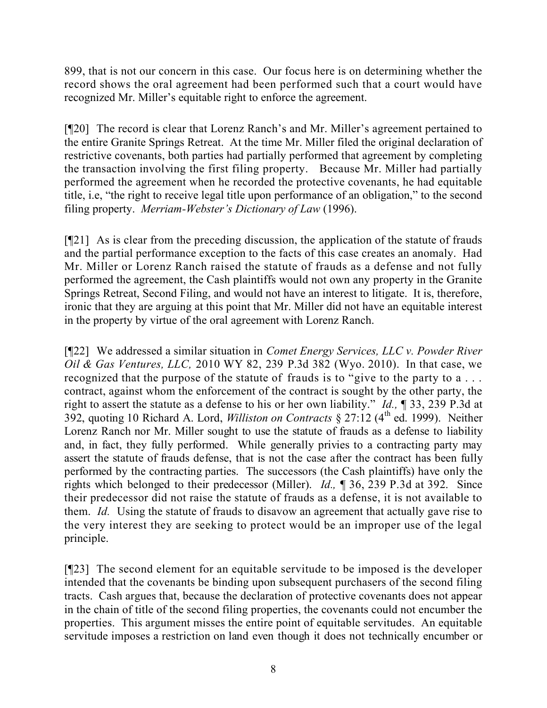899, that is not our concern in this case. Our focus here is on determining whether the record shows the oral agreement had been performed such that a court would have recognized Mr. Miller's equitable right to enforce the agreement.

[¶20] The record is clear that Lorenz Ranch's and Mr. Miller's agreement pertained to the entire Granite Springs Retreat. At the time Mr. Miller filed the original declaration of restrictive covenants, both parties had partially performed that agreement by completing the transaction involving the first filing property. Because Mr. Miller had partially performed the agreement when he recorded the protective covenants, he had equitable title, i.e, "the right to receive legal title upon performance of an obligation," to the second filing property. *Merriam-Webster's Dictionary of Law* (1996).

[¶21] As is clear from the preceding discussion, the application of the statute of frauds and the partial performance exception to the facts of this case creates an anomaly. Had Mr. Miller or Lorenz Ranch raised the statute of frauds as a defense and not fully performed the agreement, the Cash plaintiffs would not own any property in the Granite Springs Retreat, Second Filing, and would not have an interest to litigate. It is, therefore, ironic that they are arguing at this point that Mr. Miller did not have an equitable interest in the property by virtue of the oral agreement with Lorenz Ranch.

[¶22] We addressed a similar situation in *Comet Energy Services, LLC v. Powder River Oil & Gas Ventures, LLC,* 2010 WY 82, 239 P.3d 382 (Wyo. 2010). In that case, we recognized that the purpose of the statute of frauds is to "give to the party to a . . . contract, against whom the enforcement of the contract is sought by the other party, the right to assert the statute as a defense to his or her own liability." *Id.,* ¶ 33, 239 P.3d at 392, quoting 10 Richard A. Lord, *Williston on Contracts* § 27:12 (4th ed. 1999). Neither Lorenz Ranch nor Mr. Miller sought to use the statute of frauds as a defense to liability and, in fact, they fully performed. While generally privies to a contracting party may assert the statute of frauds defense, that is not the case after the contract has been fully performed by the contracting parties. The successors (the Cash plaintiffs) have only the rights which belonged to their predecessor (Miller). *Id.,* ¶ 36, 239 P.3d at 392. Since their predecessor did not raise the statute of frauds as a defense, it is not available to them. *Id.* Using the statute of frauds to disavow an agreement that actually gave rise to the very interest they are seeking to protect would be an improper use of the legal principle.

[¶23] The second element for an equitable servitude to be imposed is the developer intended that the covenants be binding upon subsequent purchasers of the second filing tracts. Cash argues that, because the declaration of protective covenants does not appear in the chain of title of the second filing properties, the covenants could not encumber the properties. This argument misses the entire point of equitable servitudes. An equitable servitude imposes a restriction on land even though it does not technically encumber or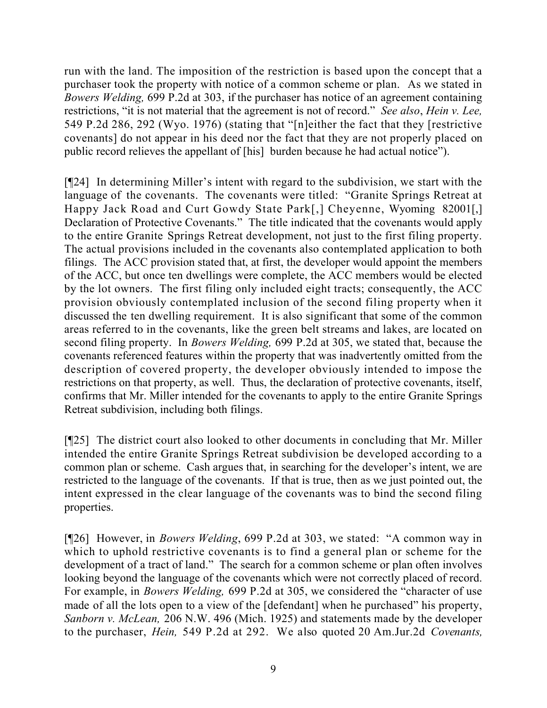run with the land. The imposition of the restriction is based upon the concept that a purchaser took the property with notice of a common scheme or plan. As we stated in *Bowers Welding,* 699 P.2d at 303, if the purchaser has notice of an agreement containing restrictions, "it is not material that the agreement is not of record." *See also*, *Hein v. Lee,*  549 P.2d 286, 292 (Wyo. 1976) (stating that "[n]either the fact that they [restrictive covenants] do not appear in his deed nor the fact that they are not properly placed on public record relieves the appellant of [his] burden because he had actual notice").

[¶24] In determining Miller's intent with regard to the subdivision, we start with the language of the covenants. The covenants were titled: "Granite Springs Retreat at Happy Jack Road and Curt Gowdy State Park[,] Cheyenne, Wyoming 82001[,] Declaration of Protective Covenants." The title indicated that the covenants would apply to the entire Granite Springs Retreat development, not just to the first filing property. The actual provisions included in the covenants also contemplated application to both filings. The ACC provision stated that, at first, the developer would appoint the members of the ACC, but once ten dwellings were complete, the ACC members would be elected by the lot owners. The first filing only included eight tracts; consequently, the ACC provision obviously contemplated inclusion of the second filing property when it discussed the ten dwelling requirement. It is also significant that some of the common areas referred to in the covenants, like the green belt streams and lakes, are located on second filing property. In *Bowers Welding,* 699 P.2d at 305, we stated that, because the covenants referenced features within the property that was inadvertently omitted from the description of covered property, the developer obviously intended to impose the restrictions on that property, as well. Thus, the declaration of protective covenants, itself, confirms that Mr. Miller intended for the covenants to apply to the entire Granite Springs Retreat subdivision, including both filings.

[¶25] The district court also looked to other documents in concluding that Mr. Miller intended the entire Granite Springs Retreat subdivision be developed according to a common plan or scheme. Cash argues that, in searching for the developer's intent, we are restricted to the language of the covenants. If that is true, then as we just pointed out, the intent expressed in the clear language of the covenants was to bind the second filing properties.

[¶26] However, in *Bowers Welding*, 699 P.2d at 303, we stated: "A common way in which to uphold restrictive covenants is to find a general plan or scheme for the development of a tract of land." The search for a common scheme or plan often involves looking beyond the language of the covenants which were not correctly placed of record. For example, in *Bowers Welding,* 699 P.2d at 305, we considered the "character of use made of all the lots open to a view of the [defendant] when he purchased" his property, *Sanborn v. McLean,* 206 N.W. 496 (Mich. 1925) and statements made by the developer to the purchaser, *Hein,* 549 P.2d at 292. We also quoted 20 Am.Jur.2d *Covenants,*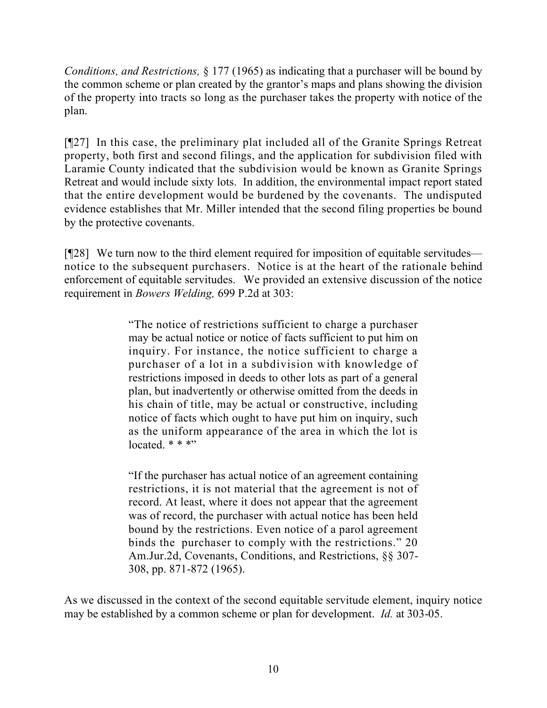*Conditions, and Restrictions,* § 177 (1965) as indicating that a purchaser will be bound by the common scheme or plan created by the grantor's maps and plans showing the division of the property into tracts so long as the purchaser takes the property with notice of the plan.

[¶27] In this case, the preliminary plat included all of the Granite Springs Retreat property, both first and second filings, and the application for subdivision filed with Laramie County indicated that the subdivision would be known as Granite Springs Retreat and would include sixty lots. In addition, the environmental impact report stated that the entire development would be burdened by the covenants. The undisputed evidence establishes that Mr. Miller intended that the second filing properties be bound by the protective covenants.

[¶28] We turn now to the third element required for imposition of equitable servitudes notice to the subsequent purchasers. Notice is at the heart of the rationale behind enforcement of equitable servitudes. We provided an extensive discussion of the notice requirement in *Bowers Welding,* 699 P.2d at 303:

> "The notice of restrictions sufficient to charge a purchaser may be actual notice or notice of facts sufficient to put him on inquiry. For instance, the notice sufficient to charge a purchaser of a lot in a subdivision with knowledge of restrictions imposed in deeds to other lots as part of a general plan, but inadvertently or otherwise omitted from the deeds in his chain of title, may be actual or constructive, including notice of facts which ought to have put him on inquiry, such as the uniform appearance of the area in which the lot is  $located$  \* \* \*"

> "If the purchaser has actual notice of an agreement containing restrictions, it is not material that the agreement is not of record. At least, where it does not appear that the agreement was of record, the purchaser with actual notice has been held bound by the restrictions. Even notice of a parol agreement binds the purchaser to comply with the restrictions." 20 Am.Jur.2d, Covenants, Conditions, and Restrictions, §§ 307- 308, pp. 871-872 (1965).

As we discussed in the context of the second equitable servitude element, inquiry notice may be established by a common scheme or plan for development. *Id.* at 303-05.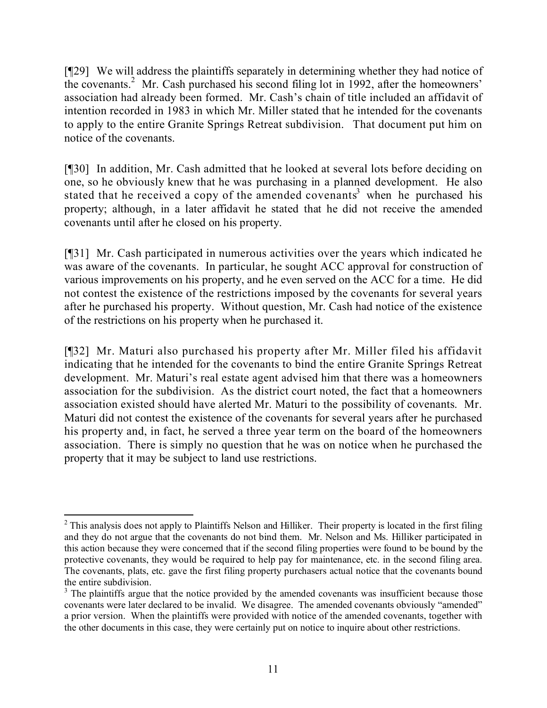[¶29] We will address the plaintiffs separately in determining whether they had notice of the covenants.<sup>2</sup> Mr. Cash purchased his second filing lot in 1992, after the homeowners' association had already been formed. Mr. Cash's chain of title included an affidavit of intention recorded in 1983 in which Mr. Miller stated that he intended for the covenants to apply to the entire Granite Springs Retreat subdivision. That document put him on notice of the covenants.

[¶30] In addition, Mr. Cash admitted that he looked at several lots before deciding on one, so he obviously knew that he was purchasing in a planned development. He also stated that he received a copy of the amended covenants<sup>3</sup> when he purchased his property; although, in a later affidavit he stated that he did not receive the amended covenants until after he closed on his property.

[¶31] Mr. Cash participated in numerous activities over the years which indicated he was aware of the covenants. In particular, he sought ACC approval for construction of various improvements on his property, and he even served on the ACC for a time. He did not contest the existence of the restrictions imposed by the covenants for several years after he purchased his property. Without question, Mr. Cash had notice of the existence of the restrictions on his property when he purchased it.

[¶32] Mr. Maturi also purchased his property after Mr. Miller filed his affidavit indicating that he intended for the covenants to bind the entire Granite Springs Retreat development. Mr. Maturi's real estate agent advised him that there was a homeowners association for the subdivision. As the district court noted, the fact that a homeowners association existed should have alerted Mr. Maturi to the possibility of covenants. Mr. Maturi did not contest the existence of the covenants for several years after he purchased his property and, in fact, he served a three year term on the board of the homeowners association. There is simply no question that he was on notice when he purchased the property that it may be subject to land use restrictions.

 $\overline{a}$  $2$  This analysis does not apply to Plaintiffs Nelson and Hilliker. Their property is located in the first filing and they do not argue that the covenants do not bind them. Mr. Nelson and Ms. Hilliker participated in this action because they were concerned that if the second filing properties were found to be bound by the protective covenants, they would be required to help pay for maintenance, etc. in the second filing area. The covenants, plats, etc. gave the first filing property purchasers actual notice that the covenants bound the entire subdivision.

<sup>&</sup>lt;sup>3</sup> The plaintiffs argue that the notice provided by the amended covenants was insufficient because those covenants were later declared to be invalid. We disagree. The amended covenants obviously "amended" a prior version. When the plaintiffs were provided with notice of the amended covenants, together with the other documents in this case, they were certainly put on notice to inquire about other restrictions.